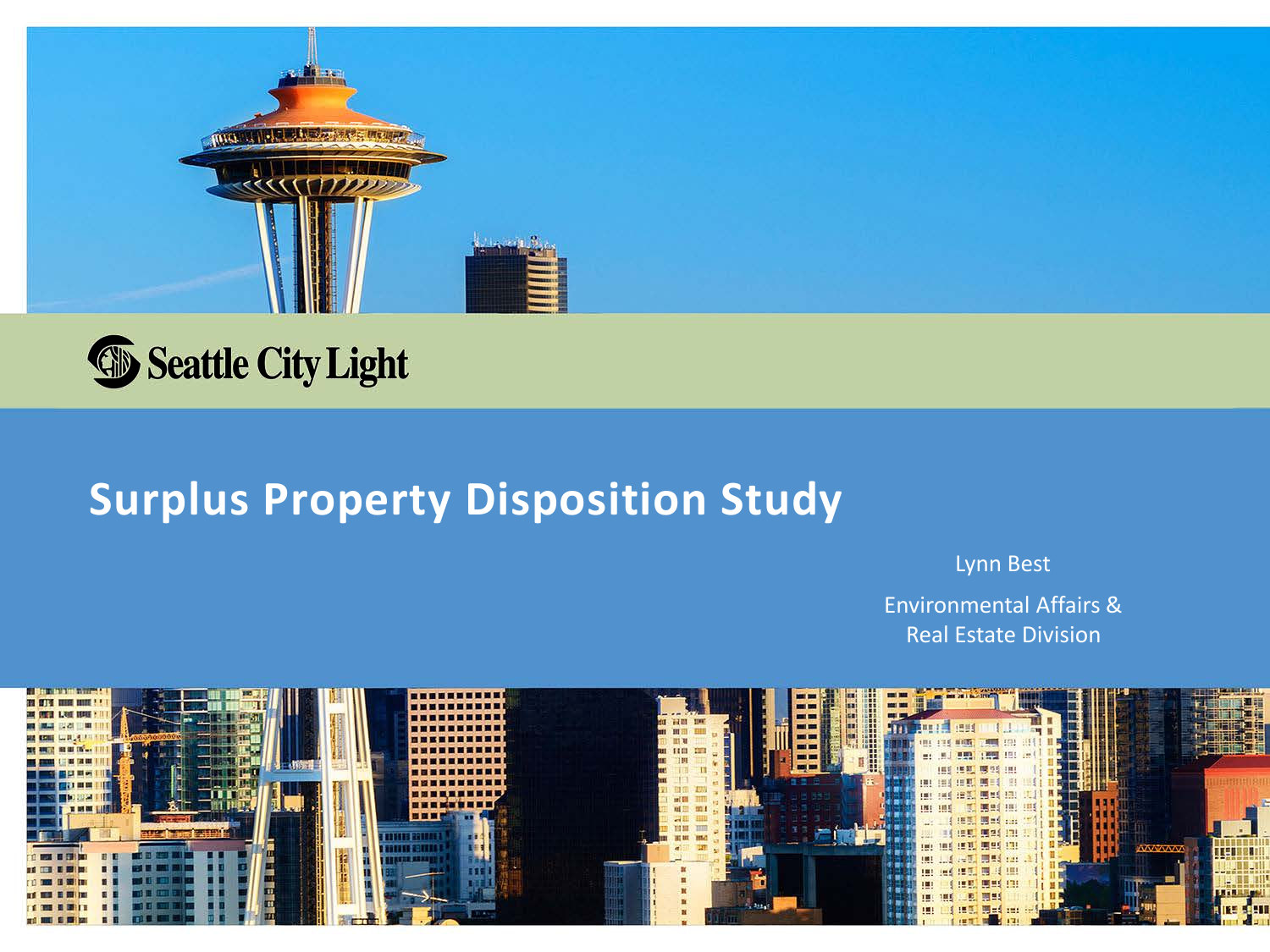



# **Surplus Property Disposition Study**

Lynn Best

Environmental Affairs & Real Estate Division

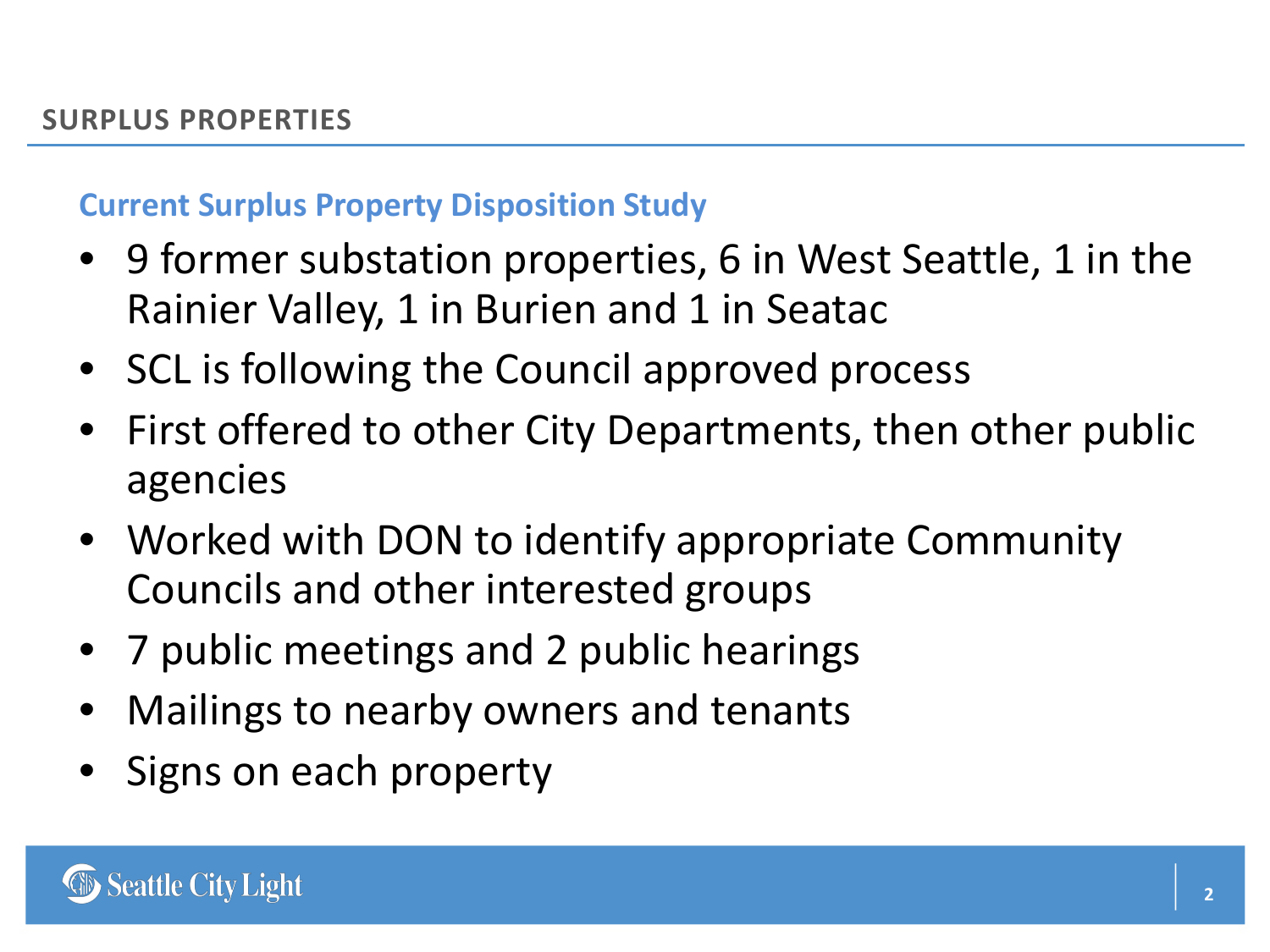## **Current Surplus Property Disposition Study**

- 9 former substation properties, 6 in West Seattle, 1 in the Rainier Valley, 1 in Burien and 1 in Seatac
- SCL is following the Council approved process
- First offered to other City Departments, then other public agencies
- Worked with DON to identify appropriate Community Councils and other interested groups
- 7 public meetings and 2 public hearings
- Mailings to nearby owners and tenants
- Signs on each property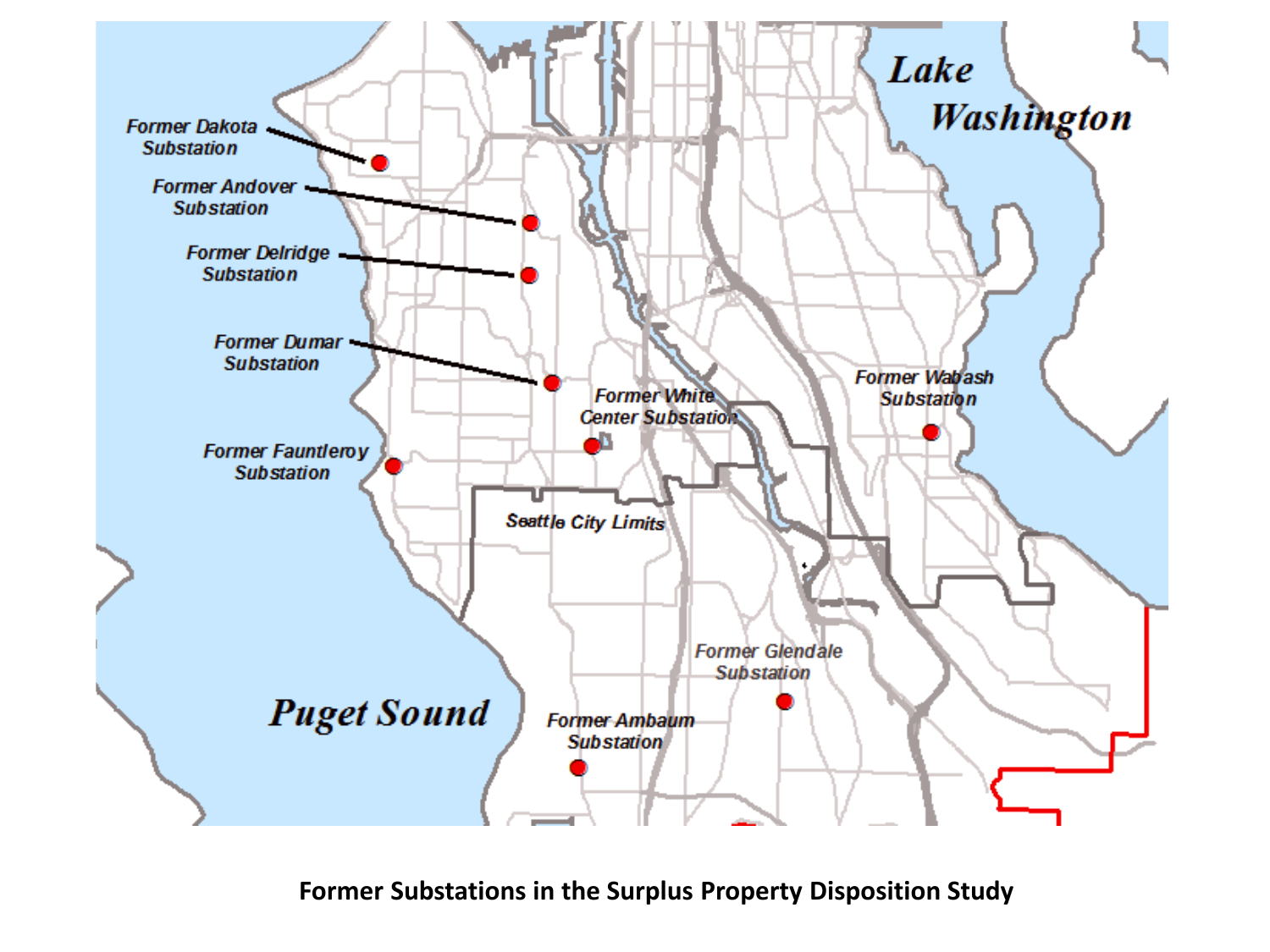

**Former Substations in the Surplus Property Disposition Study**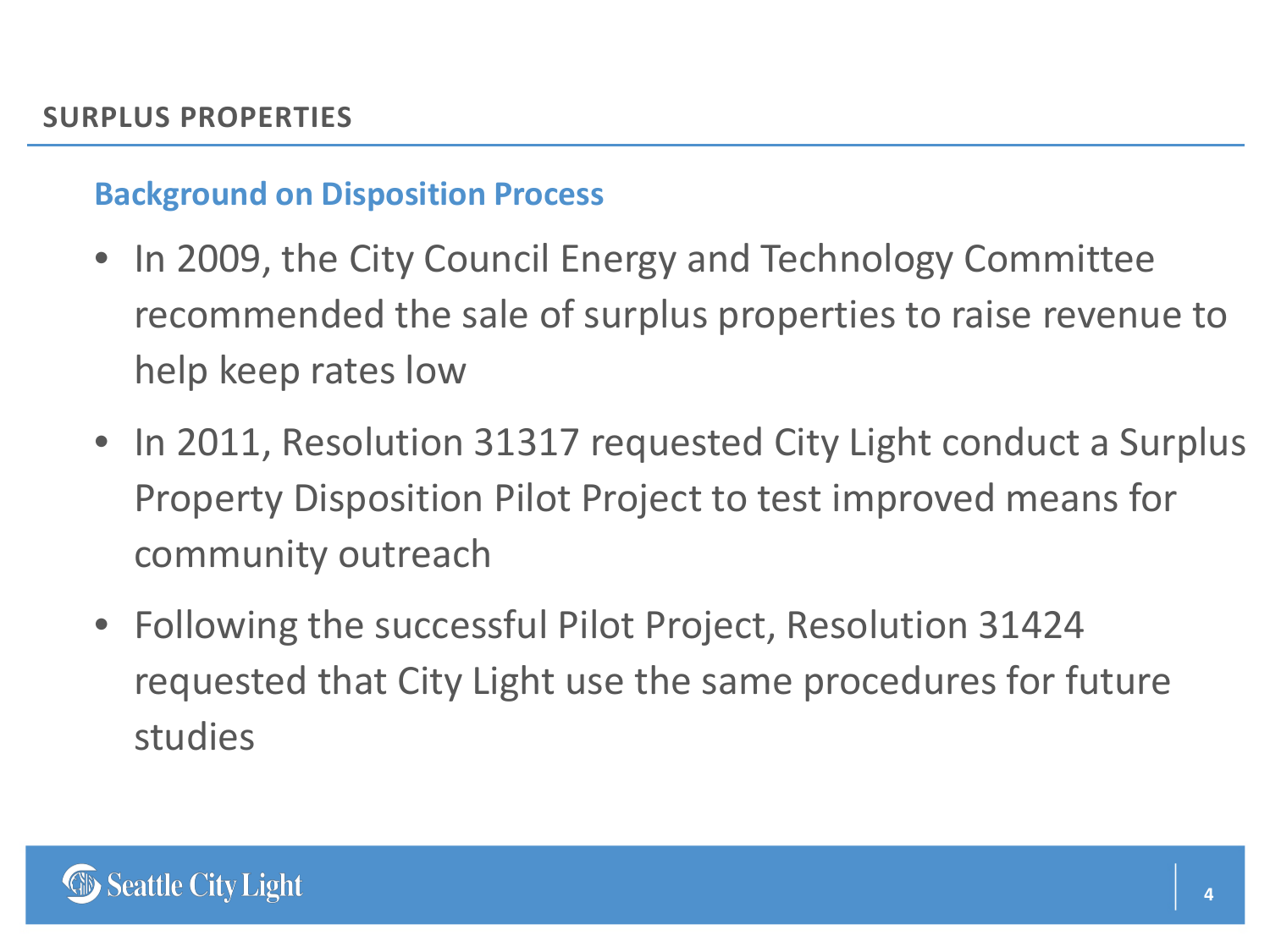#### **Background on Disposition Process**

- In 2009, the City Council Energy and Technology Committee recommended the sale of surplus properties to raise revenue to help keep rates low
- In 2011, Resolution 31317 requested City Light conduct a Surplus Property Disposition Pilot Project to test improved means for community outreach
- Following the successful Pilot Project, Resolution 31424 requested that City Light use the same procedures for future studies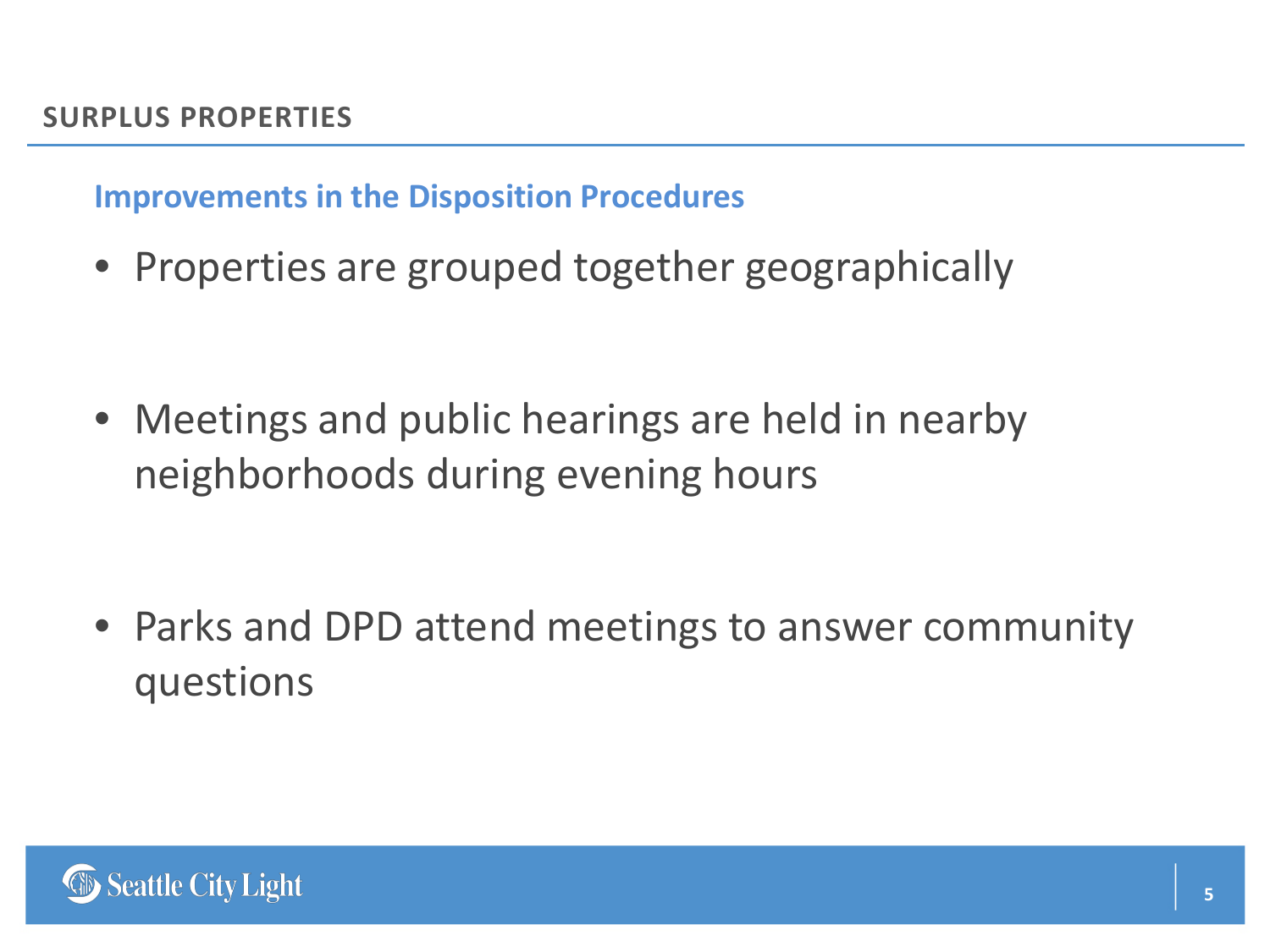**Improvements in the Disposition Procedures**

• Properties are grouped together geographically

• Meetings and public hearings are held in nearby neighborhoods during evening hours

• Parks and DPD attend meetings to answer community questions

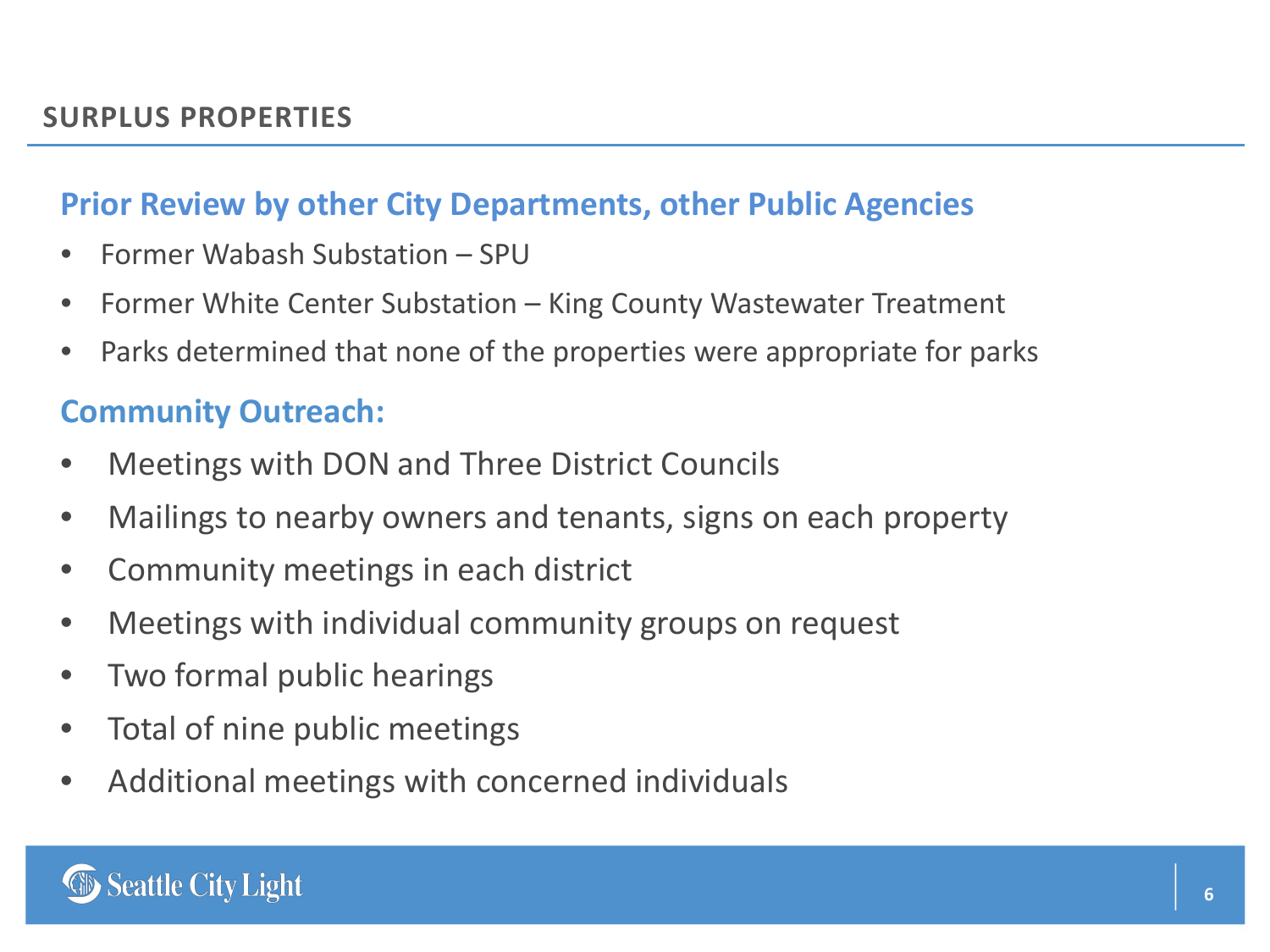#### **Prior Review by other City Departments, other Public Agencies**

- Former Wabash Substation SPU
- Former White Center Substation King County Wastewater Treatment
- Parks determined that none of the properties were appropriate for parks

#### **Community Outreach:**

- Meetings with DON and Three District Councils
- Mailings to nearby owners and tenants, signs on each property
- Community meetings in each district
- Meetings with individual community groups on request
- Two formal public hearings
- Total of nine public meetings
- Additional meetings with concerned individuals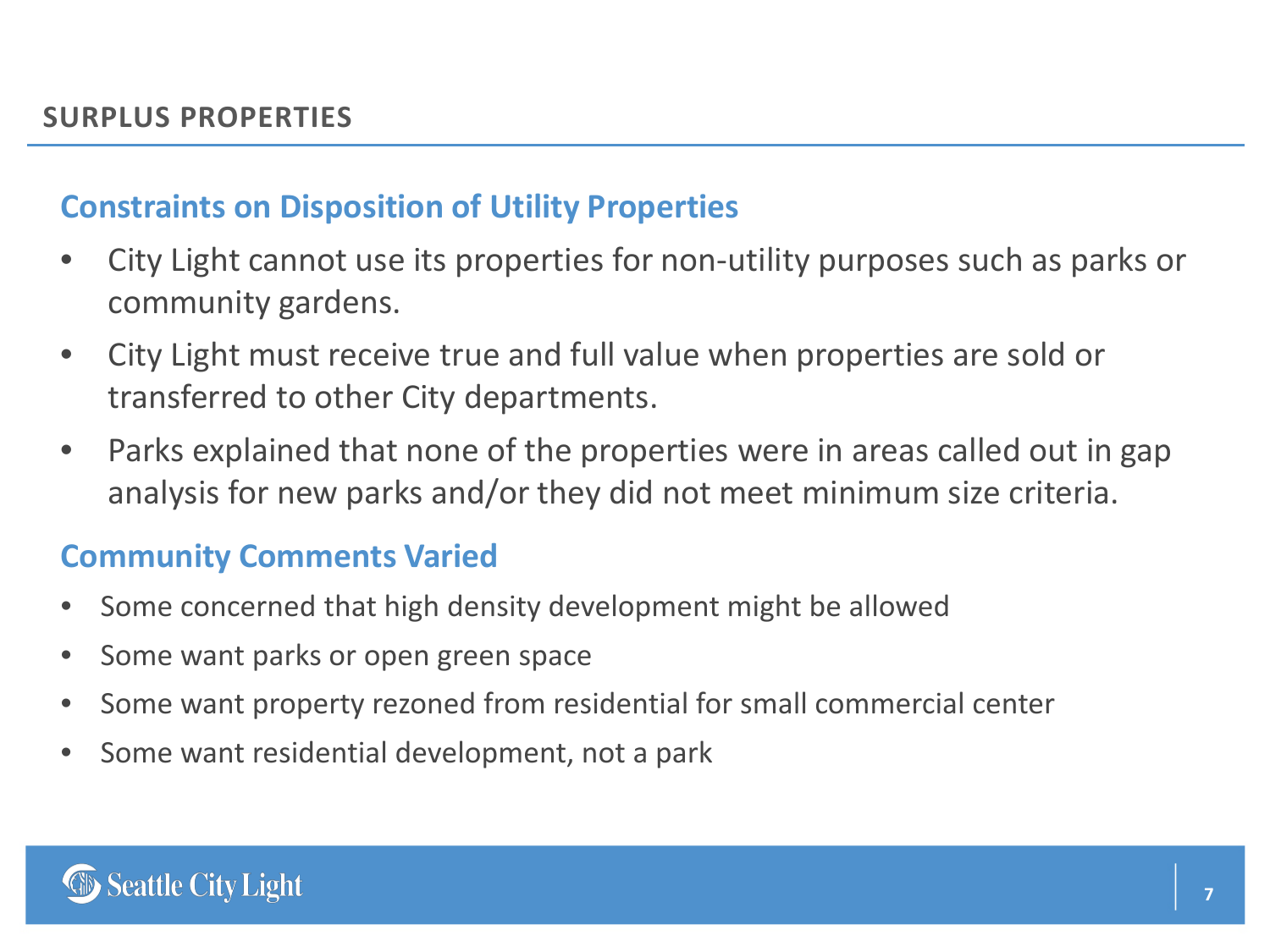#### **Constraints on Disposition of Utility Properties**

- City Light cannot use its properties for non-utility purposes such as parks or community gardens.
- City Light must receive true and full value when properties are sold or transferred to other City departments.
- Parks explained that none of the properties were in areas called out in gap analysis for new parks and/or they did not meet minimum size criteria.

### **Community Comments Varied**

- Some concerned that high density development might be allowed
- Some want parks or open green space
- Some want property rezoned from residential for small commercial center
- Some want residential development, not a park